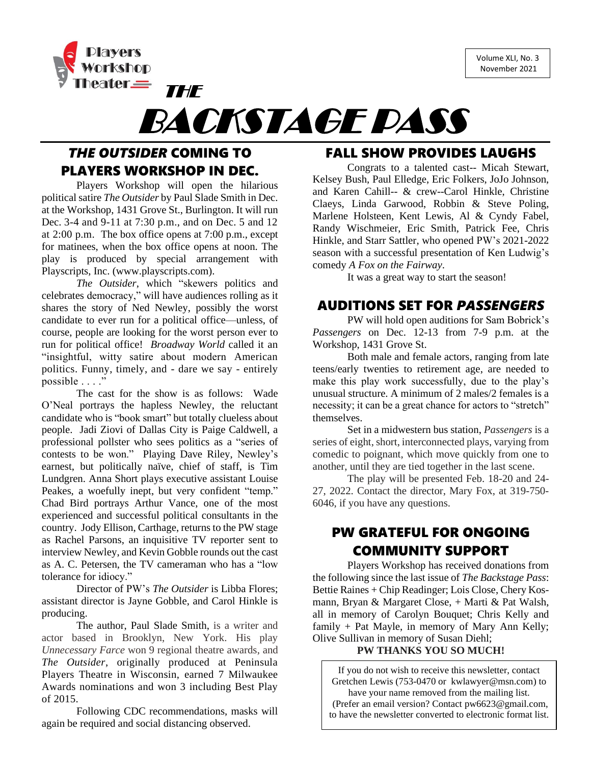Volume XLI, No. 3 November 2021





# *THE OUTSIDER* COMING TO PLAYERS WORKSHOP IN DEC.

THE

Players Workshop will open the hilarious political satire *The Outsider* by Paul Slade Smith in Dec. at the Workshop, 1431 Grove St., Burlington. It will run Dec. 3-4 and 9-11 at 7:30 p.m., and on Dec. 5 and 12 at 2:00 p.m. The box office opens at 7:00 p.m., except for matinees, when the box office opens at noon. The play is produced by special arrangement with Playscripts, Inc. (www.playscripts.com).

*The Outsider*, which "skewers politics and celebrates democracy," will have audiences rolling as it shares the story of Ned Newley, possibly the worst candidate to ever run for a political office—unless, of course, people are looking for the worst person ever to run for political office! *Broadway World* called it an "insightful, witty satire about modern American politics. Funny, timely, and - dare we say - entirely possible . . . ."

The cast for the show is as follows: Wade O'Neal portrays the hapless Newley, the reluctant candidate who is "book smart" but totally clueless about people. Jadi Ziovi of Dallas City is Paige Caldwell, a professional pollster who sees politics as a "series of contests to be won." Playing Dave Riley, Newley's earnest, but politically naïve, chief of staff, is Tim Lundgren. Anna Short plays executive assistant Louise Peakes, a woefully inept, but very confident "temp." Chad Bird portrays Arthur Vance, one of the most experienced and successful political consultants in the country. Jody Ellison, Carthage, returns to the PW stage as Rachel Parsons, an inquisitive TV reporter sent to interview Newley, and Kevin Gobble rounds out the cast as A. C. Petersen, the TV cameraman who has a "low tolerance for idiocy."

Director of PW's *The Outsider* is Libba Flores; assistant director is Jayne Gobble, and Carol Hinkle is producing.

The author, Paul Slade Smith, is a writer and actor based in Brooklyn, New York. His play *Unnecessary Farce* won 9 regional theatre awards, and *The Outsider*, originally produced at Peninsula Players Theatre in Wisconsin, earned 7 Milwaukee Awards nominations and won 3 including Best Play of 2015.

Following CDC recommendations, masks will again be required and social distancing observed.

## FALL SHOW PROVIDES LAUGHS

Congrats to a talented cast-- Micah Stewart, Kelsey Bush, Paul Elledge, Eric Folkers, JoJo Johnson, and Karen Cahill-- & crew--Carol Hinkle, Christine Claeys, Linda Garwood, Robbin & Steve Poling, Marlene Holsteen, Kent Lewis, Al & Cyndy Fabel, Randy Wischmeier, Eric Smith, Patrick Fee, Chris Hinkle, and Starr Sattler, who opened PW's 2021-2022 season with a successful presentation of Ken Ludwig's comedy *A Fox on the Fairway*.

It was a great way to start the season!

### AUDITIONS SET FOR *PASSENGERS*

PW will hold open auditions for Sam Bobrick's *Passengers* on Dec. 12-13 from 7-9 p.m. at the Workshop, 1431 Grove St.

Both male and female actors, ranging from late teens/early twenties to retirement age, are needed to make this play work successfully, due to the play's unusual structure. A minimum of 2 males/2 females is a necessity; it can be a great chance for actors to "stretch" themselves.

Set in a midwestern bus station, *Passengers* is a series of eight, short, interconnected plays, varying from comedic to poignant, which move quickly from one to another, until they are tied together in the last scene.

The play will be presented Feb. 18-20 and 24- 27, 2022. Contact the director, Mary Fox, at 319-750- 6046, if you have any questions.

# PW GRATEFUL FOR ONGOING COMMUNITY SUPPORT

Players Workshop has received donations from the following since the last issue of *The Backstage Pass*: Bettie Raines + Chip Readinger; Lois Close, Chery Kosmann, Bryan & Margaret Close, + Marti & Pat Walsh, all in memory of Carolyn Bouquet; Chris Kelly and family + Pat Mayle, in memory of Mary Ann Kelly; Olive Sullivan in memory of Susan Diehl;

#### **PW THANKS YOU SO MUCH!**

If you do not wish to receive this newsletter, contact Gretchen Lewis (753-0470 or [kwlawyer@msn.com\)](mailto:kwlawyer@msn.com) to have your name removed from the mailing list. (Prefer an email version? Contact [pw6623@gmail.com,](mailto:pw6623@gmail.com) to have the newsletter converted to electronic format list.